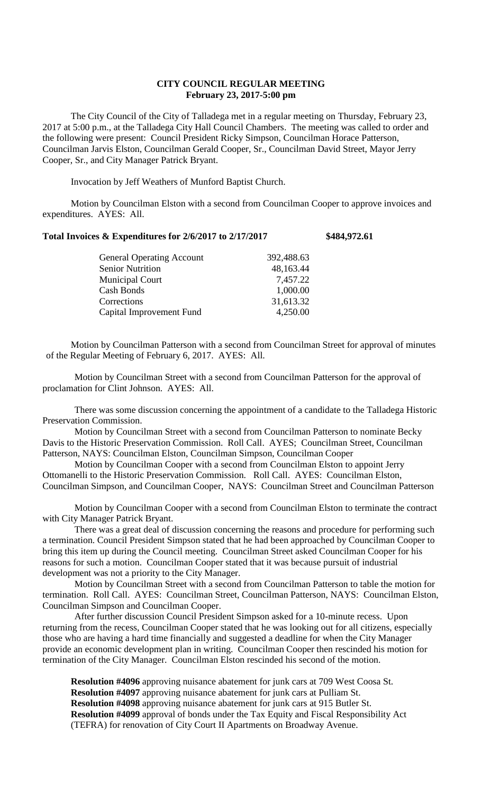## **CITY COUNCIL REGULAR MEETING February 23, 2017-5:00 pm**

The City Council of the City of Talladega met in a regular meeting on Thursday, February 23, 2017 at 5:00 p.m., at the Talladega City Hall Council Chambers. The meeting was called to order and the following were present: Council President Ricky Simpson, Councilman Horace Patterson, Councilman Jarvis Elston, Councilman Gerald Cooper, Sr., Councilman David Street, Mayor Jerry Cooper, Sr., and City Manager Patrick Bryant.

Invocation by Jeff Weathers of Munford Baptist Church.

Motion by Councilman Elston with a second from Councilman Cooper to approve invoices and expenditures. AYES: All.

## **Total Invoices & Expenditures for 2/6/2017 to 2/17/2017 \$484,972.61**

| <b>General Operating Account</b> | 392,488.63 |
|----------------------------------|------------|
| <b>Senior Nutrition</b>          | 48,163.44  |
| <b>Municipal Court</b>           | 7,457.22   |
| Cash Bonds                       | 1,000.00   |
| Corrections                      | 31,613.32  |
| Capital Improvement Fund         | 4,250.00   |

Motion by Councilman Patterson with a second from Councilman Street for approval of minutes of the Regular Meeting of February 6, 2017. AYES: All.

Motion by Councilman Street with a second from Councilman Patterson for the approval of proclamation for Clint Johnson. AYES: All.

There was some discussion concerning the appointment of a candidate to the Talladega Historic Preservation Commission.

Motion by Councilman Street with a second from Councilman Patterson to nominate Becky Davis to the Historic Preservation Commission. Roll Call. AYES; Councilman Street, Councilman Patterson, NAYS: Councilman Elston, Councilman Simpson, Councilman Cooper

Motion by Councilman Cooper with a second from Councilman Elston to appoint Jerry Ottomanelli to the Historic Preservation Commission. Roll Call. AYES: Councilman Elston, Councilman Simpson, and Councilman Cooper, NAYS: Councilman Street and Councilman Patterson

Motion by Councilman Cooper with a second from Councilman Elston to terminate the contract with City Manager Patrick Bryant.

There was a great deal of discussion concerning the reasons and procedure for performing such a termination. Council President Simpson stated that he had been approached by Councilman Cooper to bring this item up during the Council meeting. Councilman Street asked Councilman Cooper for his reasons for such a motion. Councilman Cooper stated that it was because pursuit of industrial development was not a priority to the City Manager.

Motion by Councilman Street with a second from Councilman Patterson to table the motion for termination. Roll Call. AYES: Councilman Street, Councilman Patterson, NAYS: Councilman Elston, Councilman Simpson and Councilman Cooper.

After further discussion Council President Simpson asked for a 10-minute recess. Upon returning from the recess, Councilman Cooper stated that he was looking out for all citizens, especially those who are having a hard time financially and suggested a deadline for when the City Manager provide an economic development plan in writing. Councilman Cooper then rescinded his motion for termination of the City Manager. Councilman Elston rescinded his second of the motion.

**Resolution #4096** approving nuisance abatement for junk cars at 709 West Coosa St. **Resolution #4097** approving nuisance abatement for junk cars at Pulliam St. **Resolution #4098** approving nuisance abatement for junk cars at 915 Butler St. **Resolution #4099** approval of bonds under the Tax Equity and Fiscal Responsibility Act (TEFRA) for renovation of City Court II Apartments on Broadway Avenue.